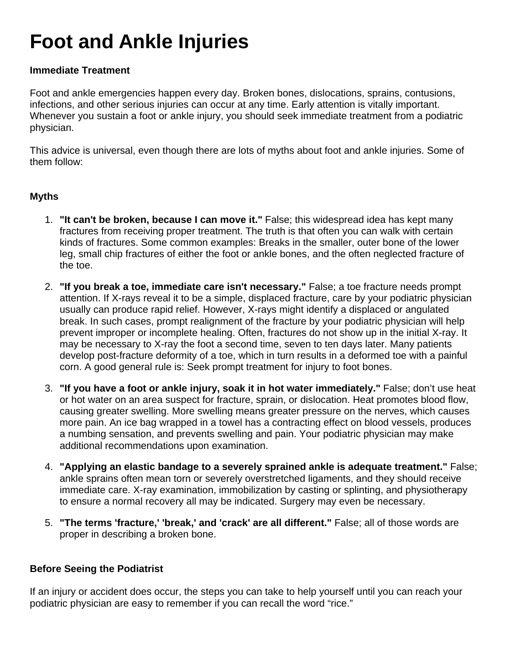# **Foot and Ankle Injuries**

## **Immediate Treatment**

Foot and ankle emergencies happen every day. Broken bones, dislocations, sprains, contusions, infections, and other serious injuries can occur at any time. Early attention is vitally important. Whenever you sustain a foot or ankle injury, you should seek immediate treatment from a podiatric physician.

This advice is universal, even though there are lots of myths about foot and ankle injuries. Some of them follow:

#### **Myths**

- 1. **"It can't be broken, because I can move it."** False; this widespread idea has kept many fractures from receiving proper treatment. The truth is that often you can walk with certain kinds of fractures. Some common examples: Breaks in the smaller, outer bone of the lower leg, small chip fractures of either the foot or ankle bones, and the often neglected fracture of the toe.
- 2. **"If you break a toe, immediate care isn't necessary."** False; a toe fracture needs prompt attention. If X-rays reveal it to be a simple, displaced fracture, care by your podiatric physician usually can produce rapid relief. However, X-rays might identify a displaced or angulated break. In such cases, prompt realignment of the fracture by your podiatric physician will help prevent improper or incomplete healing. Often, fractures do not show up in the initial X-ray. It may be necessary to X-ray the foot a second time, seven to ten days later. Many patients develop post-fracture deformity of a toe, which in turn results in a deformed toe with a painful corn. A good general rule is: Seek prompt treatment for injury to foot bones.
- 3. **"If you have a foot or ankle injury, soak it in hot water immediately."** False; don't use heat or hot water on an area suspect for fracture, sprain, or dislocation. Heat promotes blood flow, causing greater swelling. More swelling means greater pressure on the nerves, which causes more pain. An ice bag wrapped in a towel has a contracting effect on blood vessels, produces a numbing sensation, and prevents swelling and pain. Your podiatric physician may make additional recommendations upon examination.
- 4. **"Applying an elastic bandage to a severely sprained ankle is adequate treatment."** False; ankle sprains often mean torn or severely overstretched ligaments, and they should receive immediate care. X-ray examination, immobilization by casting or splinting, and physiotherapy to ensure a normal recovery all may be indicated. Surgery may even be necessary.
- 5. **"The terms 'fracture,' 'break,' and 'crack' are all different."** False; all of those words are proper in describing a broken bone.

## **Before Seeing the Podiatrist**

If an injury or accident does occur, the steps you can take to help yourself until you can reach your podiatric physician are easy to remember if you can recall the word "rice."